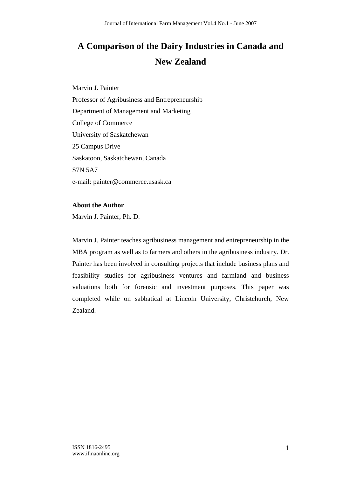# **A Comparison of the Dairy Industries in Canada and New Zealand**

Marvin J. Painter Professor of Agribusiness and Entrepreneurship Department of Management and Marketing College of Commerce University of Saskatchewan 25 Campus Drive Saskatoon, Saskatchewan, Canada S7N 5A7 e-mail: painter@commerce.usask.ca

### **About the Author**

Marvin J. Painter, Ph. D.

Marvin J. Painter teaches agribusiness management and entrepreneurship in the MBA program as well as to farmers and others in the agribusiness industry. Dr. Painter has been involved in consulting projects that include business plans and feasibility studies for agribusiness ventures and farmland and business valuations both for forensic and investment purposes. This paper was completed while on sabbatical at Lincoln University, Christchurch, New Zealand.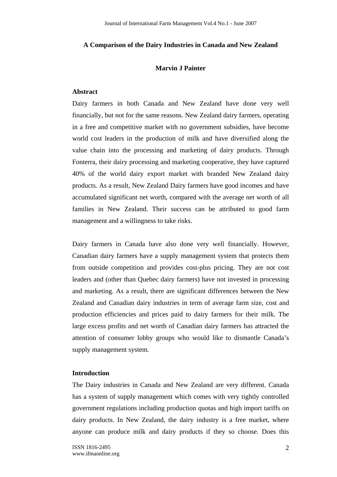#### **A Comparison of the Dairy Industries in Canada and New Zealand**

#### **Marvin J Painter**

#### **Abstract**

Dairy farmers in both Canada and New Zealand have done very well financially, but not for the same reasons. New Zealand dairy farmers, operating in a free and competitive market with no government subsidies, have become world cost leaders in the production of milk and have diversified along the value chain into the processing and marketing of dairy products. Through Fonterra, their dairy processing and marketing cooperative, they have captured 40% of the world dairy export market with branded New Zealand dairy products. As a result, New Zealand Dairy farmers have good incomes and have accumulated significant net worth, compared with the average net worth of all families in New Zealand. Their success can be attributed to good farm management and a willingness to take risks.

Dairy farmers in Canada have also done very well financially. However, Canadian dairy farmers have a supply management system that protects them from outside competition and provides cost-plus pricing. They are not cost leaders and (other than Quebec dairy farmers) have not invested in processing and marketing. As a result, there are significant differences between the New Zealand and Canadian dairy industries in term of average farm size, cost and production efficiencies and prices paid to dairy farmers for their milk. The large excess profits and net worth of Canadian dairy farmers has attracted the attention of consumer lobby groups who would like to dismantle Canada's supply management system.

#### **Introduction**

The Dairy industries in Canada and New Zealand are very different. Canada has a system of supply management which comes with very tightly controlled government regulations including production quotas and high import tariffs on dairy products. In New Zealand, the dairy industry is a free market, where anyone can produce milk and dairy products if they so choose. Does this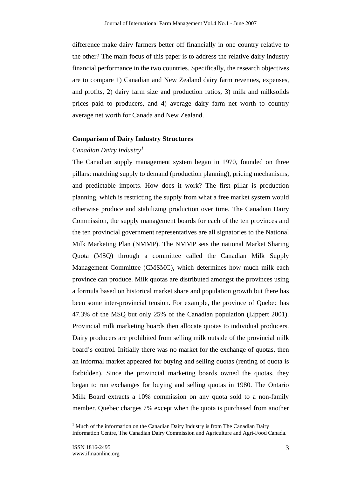difference make dairy farmers better off financially in one country relative to the other? The main focus of this paper is to address the relative dairy industry financial performance in the two countries. Specifically, the research objectives are to compare 1) Canadian and New Zealand dairy farm revenues, expenses, and profits, 2) dairy farm size and production ratios, 3) milk and milksolids prices paid to producers, and 4) average dairy farm net worth to country average net worth for Canada and New Zealand.

#### **Comparison of Dairy Industry Structures**

#### *Canadian Dairy Industry<sup>1</sup>*

The Canadian supply management system began in 1970, founded on three pillars: matching supply to demand (production planning), pricing mechanisms, and predictable imports. How does it work? The first pillar is production planning, which is restricting the supply from what a free market system would otherwise produce and stabilizing production over time. The Canadian Dairy Commission, the supply management boards for each of the ten provinces and the ten provincial government representatives are all signatories to the National Milk Marketing Plan (NMMP). The NMMP sets the national Market Sharing Quota (MSQ) through a committee called the Canadian Milk Supply Management Committee (CMSMC), which determines how much milk each province can produce. Milk quotas are distributed amongst the provinces using a formula based on historical market share and population growth but there has been some inter-provincial tension. For example, the province of Quebec has 47.3% of the MSQ but only 25% of the Canadian population (Lippert 2001). Provincial milk marketing boards then allocate quotas to individual producers. Dairy producers are prohibited from selling milk outside of the provincial milk board's control. Initially there was no market for the exchange of quotas, then an informal market appeared for buying and selling quotas (renting of quota is forbidden). Since the provincial marketing boards owned the quotas, they began to run exchanges for buying and selling quotas in 1980. The Ontario Milk Board extracts a 10% commission on any quota sold to a non-family member. Quebec charges 7% except when the quota is purchased from another

 $1$  Much of the information on the Canadian Dairy Industry is from The Canadian Dairy Information Centre, The Canadian Dairy Commission and Agriculture and Agri-Food Canada.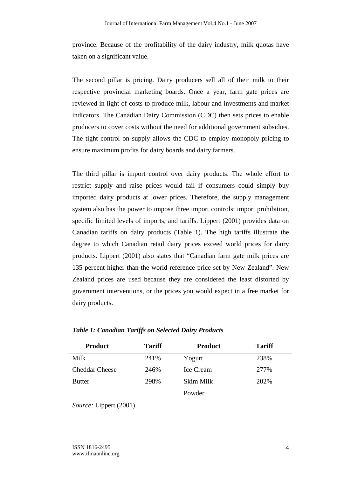province. Because of the profitability of the dairy industry, milk quotas have taken on a significant value.

The second pillar is pricing. Dairy producers sell all of their milk to their respective provincial marketing boards. Once a year, farm gate prices are reviewed in light of costs to produce milk, labour and investments and market indicators. The Canadian Dairy Commission (CDC) then sets prices to enable producers to cover costs without the need for additional government subsidies. The tight control on supply allows the CDC to employ monopoly pricing to ensure maximum profits for dairy boards and dairy farmers.

The third pillar is import control over dairy products. The whole effort to restrict supply and raise prices would fail if consumers could simply buy imported dairy products at lower prices. Therefore, the supply management system also has the power to impose three import controls: import prohibition, specific limited levels of imports, and tariffs. Lippert (2001) provides data on Canadian tariffs on dairy products (Table 1). The high tariffs illustrate the degree to which Canadian retail dairy prices exceed world prices for dairy products. Lippert (2001) also states that "Canadian farm gate milk prices are 135 percent higher than the world reference price set by New Zealand". New Zealand prices are used because they are considered the least distorted by government interventions, or the prices you would expect in a free market for dairy products.

| <b>Product</b>        | <b>Tariff</b> | <b>Product</b>   | <b>Tariff</b> |
|-----------------------|---------------|------------------|---------------|
| Milk                  | 241%          | Yogurt           | 238%          |
| <b>Cheddar Cheese</b> | 246%          | <b>Ice Cream</b> | 277%          |
| <b>Butter</b>         | 298%          | Skim Milk        | 202%          |
|                       |               | Powder           |               |

*Table 1: Canadian Tariffs on Selected Dairy Products* 

*Source:* Lippert (2001)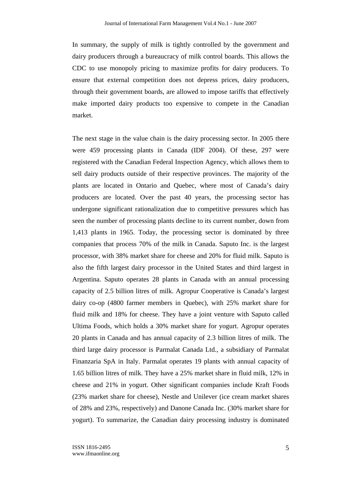In summary, the supply of milk is tightly controlled by the government and dairy producers through a bureaucracy of milk control boards. This allows the CDC to use monopoly pricing to maximize profits for dairy producers. To ensure that external competition does not depress prices, dairy producers, through their government boards, are allowed to impose tariffs that effectively make imported dairy products too expensive to compete in the Canadian market.

The next stage in the value chain is the dairy processing sector. In 2005 there were 459 processing plants in Canada (IDF 2004). Of these, 297 were registered with the Canadian Federal Inspection Agency, which allows them to sell dairy products outside of their respective provinces. The majority of the plants are located in Ontario and Quebec, where most of Canada's dairy producers are located. Over the past 40 years, the processing sector has undergone significant rationalization due to competitive pressures which has seen the number of processing plants decline to its current number, down from 1,413 plants in 1965. Today, the processing sector is dominated by three companies that process 70% of the milk in Canada. Saputo Inc. is the largest processor, with 38% market share for cheese and 20% for fluid milk. Saputo is also the fifth largest dairy processor in the United States and third largest in Argentina. Saputo operates 28 plants in Canada with an annual processing capacity of 2.5 billion litres of milk. Agropur Cooperative is Canada's largest dairy co-op (4800 farmer members in Quebec), with 25% market share for fluid milk and 18% for cheese. They have a joint venture with Saputo called Ultima Foods, which holds a 30% market share for yogurt. Agropur operates 20 plants in Canada and has annual capacity of 2.3 billion litres of milk. The third large dairy processor is Parmalat Canada Ltd., a subsidiary of Parmalat Finanzaria SpA in Italy. Parmalat operates 19 plants with annual capacity of 1.65 billion litres of milk. They have a 25% market share in fluid milk, 12% in cheese and 21% in yogurt. Other significant companies include Kraft Foods (23% market share for cheese), Nestle and Unilever (ice cream market shares of 28% and 23%, respectively) and Danone Canada Inc. (30% market share for yogurt). To summarize, the Canadian dairy processing industry is dominated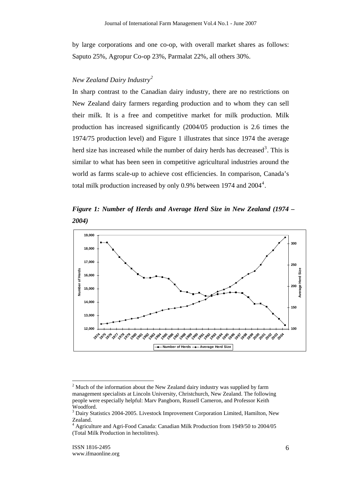by large corporations and one co-op, with overall market shares as follows: Saputo 25%, Agropur Co-op 23%, Parmalat 22%, all others 30%.

## *New Zealand Dairy Industry<sup>2</sup>*

In sharp contrast to the Canadian dairy industry, there are no restrictions on New Zealand dairy farmers regarding production and to whom they can sell their milk. It is a free and competitive market for milk production. Milk production has increased significantly (2004/05 production is 2.6 times the 1974/75 production level) and Figure 1 illustrates that since 1974 the average herd size has increased while the number of dairy herds has decreased<sup>3</sup>. This is similar to what has been seen in competitive agricultural industries around the world as farms scale-up to achieve cost efficiencies. In comparison, Canada's total milk production increased by only 0.9% between 1974 and  $2004^4$ .

*Figure 1: Number of Herds and Average Herd Size in New Zealand (1974 – 2004)* 



 $2<sup>2</sup>$  Much of the information about the New Zealand dairy industry was supplied by farm management specialists at Lincoln University, Christchurch, New Zealand. The following people were especially helpful: Marv Pangborn, Russell Cameron, and Professor Keith Woodford.

<sup>&</sup>lt;sup>3</sup> Dairy Statistics 2004-2005. Livestock Improvement Corporation Limited, Hamilton, New Zealand.

<sup>4</sup> Agriculture and Agri-Food Canada: Canadian Milk Production from 1949/50 to 2004/05 (Total Milk Production in hectolitres).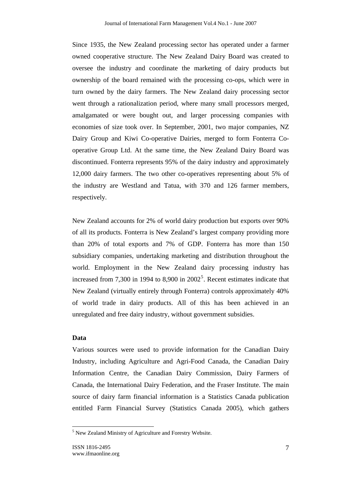Since 1935, the New Zealand processing sector has operated under a farmer owned cooperative structure. The New Zealand Dairy Board was created to oversee the industry and coordinate the marketing of dairy products but ownership of the board remained with the processing co-ops, which were in turn owned by the dairy farmers. The New Zealand dairy processing sector went through a rationalization period, where many small processors merged, amalgamated or were bought out, and larger processing companies with economies of size took over. In September, 2001, two major companies, NZ Dairy Group and Kiwi Co-operative Dairies, merged to form Fonterra Cooperative Group Ltd. At the same time, the New Zealand Dairy Board was discontinued. Fonterra represents 95% of the dairy industry and approximately 12,000 dairy farmers. The two other co-operatives representing about 5% of the industry are Westland and Tatua, with 370 and 126 farmer members, respectively.

New Zealand accounts for 2% of world dairy production but exports over 90% of all its products. Fonterra is New Zealand's largest company providing more than 20% of total exports and 7% of GDP. Fonterra has more than 150 subsidiary companies, undertaking marketing and distribution throughout the world. Employment in the New Zealand dairy processing industry has increased from 7,300 in 1994 to 8,900 in  $2002^5$ . Recent estimates indicate that New Zealand (virtually entirely through Fonterra) controls approximately 40% of world trade in dairy products. All of this has been achieved in an unregulated and free dairy industry, without government subsidies.

#### **Data**

 $\overline{a}$ 

Various sources were used to provide information for the Canadian Dairy Industry, including Agriculture and Agri-Food Canada, the Canadian Dairy Information Centre, the Canadian Dairy Commission, Dairy Farmers of Canada, the International Dairy Federation, and the Fraser Institute. The main source of dairy farm financial information is a Statistics Canada publication entitled Farm Financial Survey (Statistics Canada 2005), which gathers

<sup>&</sup>lt;sup>5</sup> New Zealand Ministry of Agriculture and Forestry Website.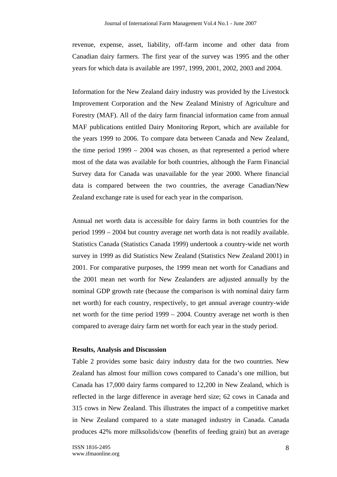revenue, expense, asset, liability, off-farm income and other data from Canadian dairy farmers. The first year of the survey was 1995 and the other years for which data is available are 1997, 1999, 2001, 2002, 2003 and 2004.

Information for the New Zealand dairy industry was provided by the Livestock Improvement Corporation and the New Zealand Ministry of Agriculture and Forestry (MAF). All of the dairy farm financial information came from annual MAF publications entitled Dairy Monitoring Report, which are available for the years 1999 to 2006. To compare data between Canada and New Zealand, the time period 1999 – 2004 was chosen, as that represented a period where most of the data was available for both countries, although the Farm Financial Survey data for Canada was unavailable for the year 2000. Where financial data is compared between the two countries, the average Canadian/New Zealand exchange rate is used for each year in the comparison.

Annual net worth data is accessible for dairy farms in both countries for the period 1999 – 2004 but country average net worth data is not readily available. Statistics Canada (Statistics Canada 1999) undertook a country-wide net worth survey in 1999 as did Statistics New Zealand (Statistics New Zealand 2001) in 2001. For comparative purposes, the 1999 mean net worth for Canadians and the 2001 mean net worth for New Zealanders are adjusted annually by the nominal GDP growth rate (because the comparison is with nominal dairy farm net worth) for each country, respectively, to get annual average country-wide net worth for the time period 1999 – 2004. Country average net worth is then compared to average dairy farm net worth for each year in the study period.

#### **Results, Analysis and Discussion**

Table 2 provides some basic dairy industry data for the two countries. New Zealand has almost four million cows compared to Canada's one million, but Canada has 17,000 dairy farms compared to 12,200 in New Zealand, which is reflected in the large difference in average herd size; 62 cows in Canada and 315 cows in New Zealand. This illustrates the impact of a competitive market in New Zealand compared to a state managed industry in Canada. Canada produces 42% more milksolids/cow (benefits of feeding grain) but an average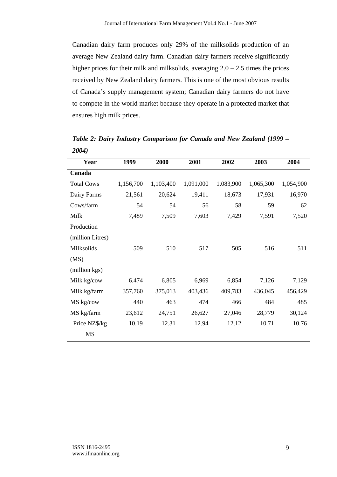Canadian dairy farm produces only 29% of the milksolids production of an average New Zealand dairy farm. Canadian dairy farmers receive significantly higher prices for their milk and milksolids, averaging  $2.0 - 2.5$  times the prices received by New Zealand dairy farmers. This is one of the most obvious results of Canada's supply management system; Canadian dairy farmers do not have to compete in the world market because they operate in a protected market that ensures high milk prices.

| Year              | 1999      | 2000      | 2001      | 2002      | 2003      | 2004      |
|-------------------|-----------|-----------|-----------|-----------|-----------|-----------|
| Canada            |           |           |           |           |           |           |
| <b>Total Cows</b> | 1,156,700 | 1,103,400 | 1,091,000 | 1,083,900 | 1,065,300 | 1,054,900 |
| Dairy Farms       | 21,561    | 20,624    | 19,411    | 18,673    | 17,931    | 16,970    |
| Cows/farm         | 54        | 54        | 56        | 58        | 59        | 62        |
| Milk              | 7,489     | 7,509     | 7,603     | 7,429     | 7,591     | 7,520     |
| Production        |           |           |           |           |           |           |
| (million Litres)  |           |           |           |           |           |           |
| Milksolids        | 509       | 510       | 517       | 505       | 516       | 511       |
| (MS)              |           |           |           |           |           |           |
| (million kgs)     |           |           |           |           |           |           |
| Milk kg/cow       | 6,474     | 6,805     | 6,969     | 6,854     | 7,126     | 7,129     |
| Milk kg/farm      | 357,760   | 375,013   | 403,436   | 409,783   | 436,045   | 456,429   |
| MS kg/cow         | 440       | 463       | 474       | 466       | 484       | 485       |
| MS kg/farm        | 23,612    | 24,751    | 26,627    | 27,046    | 28,779    | 30,124    |
| Price NZ\$/kg     | 10.19     | 12.31     | 12.94     | 12.12     | 10.71     | 10.76     |
| <b>MS</b>         |           |           |           |           |           |           |

*Table 2: Dairy Industry Comparison for Canada and New Zealand (1999 – 2004)*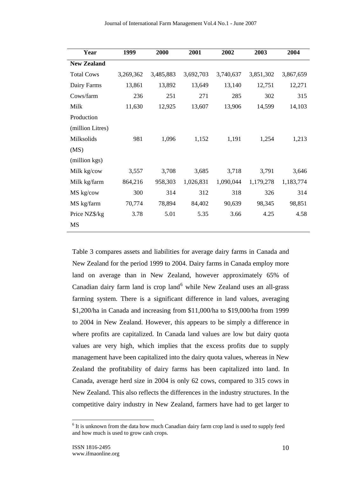| Year               | 1999      | 2000      | 2001      | 2002      | 2003      | 2004      |
|--------------------|-----------|-----------|-----------|-----------|-----------|-----------|
| <b>New Zealand</b> |           |           |           |           |           |           |
| <b>Total Cows</b>  | 3,269,362 | 3,485,883 | 3,692,703 | 3,740,637 | 3,851,302 | 3,867,659 |
| Dairy Farms        | 13,861    | 13,892    | 13,649    | 13,140    | 12,751    | 12,271    |
| Cows/farm          | 236       | 251       | 271       | 285       | 302       | 315       |
| Milk               | 11,630    | 12,925    | 13,607    | 13,906    | 14,599    | 14,103    |
| Production         |           |           |           |           |           |           |
| (million Litres)   |           |           |           |           |           |           |
| Milksolids         | 981       | 1,096     | 1,152     | 1,191     | 1,254     | 1,213     |
| (MS)               |           |           |           |           |           |           |
| (million kgs)      |           |           |           |           |           |           |
| Milk kg/cow        | 3,557     | 3,708     | 3,685     | 3,718     | 3,791     | 3,646     |
| Milk kg/farm       | 864,216   | 958,303   | 1,026,831 | 1,090,044 | 1,179,278 | 1,183,774 |
| MS kg/cow          | 300       | 314       | 312       | 318       | 326       | 314       |
| MS kg/farm         | 70,774    | 78,894    | 84,402    | 90,639    | 98,345    | 98,851    |
| Price NZ\$/kg      | 3.78      | 5.01      | 5.35      | 3.66      | 4.25      | 4.58      |
| MS                 |           |           |           |           |           |           |

Table 3 compares assets and liabilities for average dairy farms in Canada and New Zealand for the period 1999 to 2004. Dairy farms in Canada employ more land on average than in New Zealand, however approximately 65% of Canadian dairy farm land is crop land $<sup>6</sup>$  while New Zealand uses an all-grass</sup> farming system. There is a significant difference in land values, averaging \$1,200/ha in Canada and increasing from \$11,000/ha to \$19,000/ha from 1999 to 2004 in New Zealand. However, this appears to be simply a difference in where profits are capitalized. In Canada land values are low but dairy quota values are very high, which implies that the excess profits due to supply management have been capitalized into the dairy quota values, whereas in New Zealand the profitability of dairy farms has been capitalized into land. In Canada, average herd size in 2004 is only 62 cows, compared to 315 cows in New Zealand. This also reflects the differences in the industry structures. In the competitive dairy industry in New Zealand, farmers have had to get larger to

 $6$  It is unknown from the data how much Canadian dairy farm crop land is used to supply feed and how much is used to grow cash crops.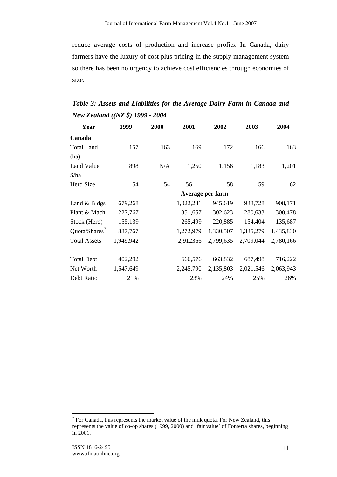reduce average costs of production and increase profits. In Canada, dairy farmers have the luxury of cost plus pricing in the supply management system so there has been no urgency to achieve cost efficiencies through economies of size.

| Table 3: Assets and Liabilities for the Average Dairy Farm in Canada and |  |  |  |
|--------------------------------------------------------------------------|--|--|--|
| New Zealand $((NZ \$ S) 1999 - 2004                                      |  |  |  |

| Year                                  | 1999      | 2000 | 2001      | 2002             | 2003      | 2004      |
|---------------------------------------|-----------|------|-----------|------------------|-----------|-----------|
| Canada                                |           |      |           |                  |           |           |
| <b>Total Land</b>                     | 157       | 163  | 169       | 172              | 166       | 163       |
| (ha)                                  |           |      |           |                  |           |           |
| <b>Land Value</b>                     | 898       | N/A  | 1,250     | 1,156            | 1,183     | 1,201     |
| $\frac{\sinh(\theta)}{\sinh(\theta)}$ |           |      |           |                  |           |           |
| Herd Size                             | 54        | 54   | 56        | 58               | 59        | 62        |
|                                       |           |      |           | Average per farm |           |           |
| Land & Bldgs                          | 679,268   |      | 1,022,231 | 945,619          | 938,728   | 908,171   |
| Plant & Mach                          | 227,767   |      | 351,657   | 302,623          | 280,633   | 300,478   |
| Stock (Herd)                          | 155,139   |      | 265,499   | 220,885          | 154,404   | 135,687   |
| Quota/Shares <sup>7</sup>             | 887,767   |      | 1,272,979 | 1,330,507        | 1,335,279 | 1,435,830 |
| <b>Total Assets</b>                   | 1,949,942 |      | 2,912366  | 2,799,635        | 2,709,044 | 2,780,166 |
|                                       |           |      |           |                  |           |           |
| <b>Total Debt</b>                     | 402,292   |      | 666,576   | 663,832          | 687,498   | 716,222   |
| Net Worth                             | 1,547,649 |      | 2,245,790 | 2,135,803        | 2,021,546 | 2,063,943 |
| Debt Ratio                            | 21%       |      | 23%       | 24%              | 25%       | 26%       |

 $\overline{a}$  $7$  For Canada, this represents the market value of the milk quota. For New Zealand, this represents the value of co-op shares (1999, 2000) and 'fair value' of Fonterra shares, beginning in 2001.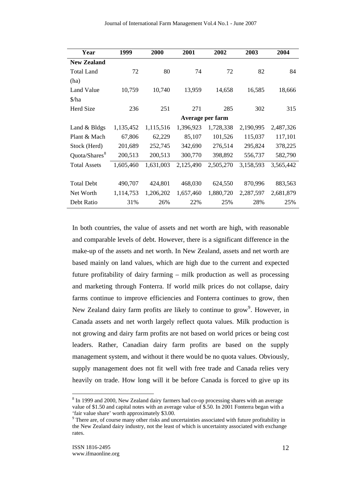| Year                                  | 1999      | 2000      | 2001             | 2002      | 2003      | 2004      |
|---------------------------------------|-----------|-----------|------------------|-----------|-----------|-----------|
| <b>New Zealand</b>                    |           |           |                  |           |           |           |
| <b>Total Land</b>                     | 72        | 80        | 74               | 72        | 82        | 84        |
| (ha)                                  |           |           |                  |           |           |           |
| Land Value                            | 10,759    | 10,740    | 13,959           | 14,658    | 16,585    | 18,666    |
| $\frac{\sinh(\theta)}{\sinh(\theta)}$ |           |           |                  |           |           |           |
| Herd Size                             | 236       | 251       | 271              | 285       | 302       | 315       |
|                                       |           |           | Average per farm |           |           |           |
| Land & Bldgs                          | 1,135,452 | 1,115,516 | 1,396,923        | 1,728,338 | 2,190,995 | 2,487,326 |
| Plant & Mach                          | 67,806    | 62,229    | 85,107           | 101,526   | 115,037   | 117,101   |
| Stock (Herd)                          | 201,689   | 252,745   | 342,690          | 276,514   | 295,824   | 378,225   |
| Quota/Shares <sup>8</sup>             | 200,513   | 200,513   | 300,770          | 398,892   | 556,737   | 582,790   |
| <b>Total Assets</b>                   | 1,605,460 | 1,631,003 | 2,125,490        | 2,505,270 | 3,158,593 | 3,565,442 |
|                                       |           |           |                  |           |           |           |
| <b>Total Debt</b>                     | 490,707   | 424,801   | 468,030          | 624,550   | 870,996   | 883,563   |
| Net Worth                             | 1,114,753 | 1,206,202 | 1,657,460        | 1,880,720 | 2,287,597 | 2,681,879 |
| Debt Ratio                            | 31%       | 26%       | 22%              | 25%       | 28%       | 25%       |

In both countries, the value of assets and net worth are high, with reasonable and comparable levels of debt. However, there is a significant difference in the make-up of the assets and net worth. In New Zealand, assets and net worth are based mainly on land values, which are high due to the current and expected future profitability of dairy farming – milk production as well as processing and marketing through Fonterra. If world milk prices do not collapse, dairy farms continue to improve efficiencies and Fonterra continues to grow, then New Zealand dairy farm profits are likely to continue to grow<sup>9</sup>. However, in Canada assets and net worth largely reflect quota values. Milk production is not growing and dairy farm profits are not based on world prices or being cost leaders. Rather, Canadian dairy farm profits are based on the supply management system, and without it there would be no quota values. Obviously, supply management does not fit well with free trade and Canada relies very heavily on trade. How long will it be before Canada is forced to give up its

<sup>&</sup>lt;sup>8</sup> In 1999 and 2000, New Zealand dairy farmers had co-op processing shares with an average value of \$1.50 and capital notes with an average value of \$.50. In 2001 Fonterra began with a 'fair value share' worth approximately \$3.00.

<sup>&</sup>lt;sup>9</sup> There are, of course many other risks and uncertainties associated with future profitability in the New Zealand dairy industry, not the least of which is uncertainty associated with exchange rates.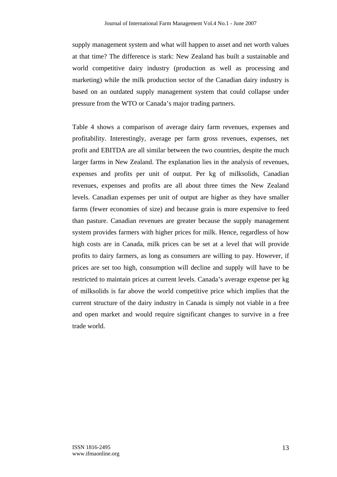supply management system and what will happen to asset and net worth values at that time? The difference is stark: New Zealand has built a sustainable and world competitive dairy industry (production as well as processing and marketing) while the milk production sector of the Canadian dairy industry is based on an outdated supply management system that could collapse under pressure from the WTO or Canada's major trading partners.

Table 4 shows a comparison of average dairy farm revenues, expenses and profitability. Interestingly, average per farm gross revenues, expenses, net profit and EBITDA are all similar between the two countries, despite the much larger farms in New Zealand. The explanation lies in the analysis of revenues, expenses and profits per unit of output. Per kg of milksolids, Canadian revenues, expenses and profits are all about three times the New Zealand levels. Canadian expenses per unit of output are higher as they have smaller farms (fewer economies of size) and because grain is more expensive to feed than pasture. Canadian revenues are greater because the supply management system provides farmers with higher prices for milk. Hence, regardless of how high costs are in Canada, milk prices can be set at a level that will provide profits to dairy farmers, as long as consumers are willing to pay. However, if prices are set too high, consumption will decline and supply will have to be restricted to maintain prices at current levels. Canada's average expense per kg of milksolids is far above the world competitive price which implies that the current structure of the dairy industry in Canada is simply not viable in a free and open market and would require significant changes to survive in a free trade world.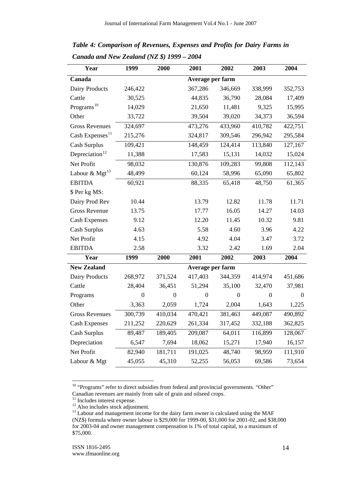| Year                        | 1999             | 2000             | 2001             | 2002             | 2003             | 2004           |  |
|-----------------------------|------------------|------------------|------------------|------------------|------------------|----------------|--|
| Canada                      | Average per farm |                  |                  |                  |                  |                |  |
| Dairy Products              | 246,422          |                  | 367,286          | 346,669          | 338,999          | 352,753        |  |
| Cattle                      | 30,525           |                  | 44,835           | 36,790           | 28,084           | 17,409         |  |
| Programs <sup>10</sup>      | 14,029           |                  | 21,650           | 11,481           | 9,325            | 15,995         |  |
| Other                       | 33,722           |                  | 39,504           | 39,020           | 34,373           | 36,594         |  |
| <b>Gross Revenues</b>       | 324,697          |                  | 473,276          | 433,960          | 410,782          | 422,751        |  |
| Cash Expenses <sup>11</sup> | 215,276          |                  | 324,817          | 309,546          | 296,942          | 295,584        |  |
| Cash Surplus                | 109,421          |                  | 148,459          | 124,414          | 113,840          | 127,167        |  |
| Depreciation <sup>12</sup>  | 11,388           |                  | 17,583           | 15,131           | 14,032           | 15,024         |  |
| Net Profit                  | 98,032           |                  | 130,876          | 109,283          | 99,808           | 112,143        |  |
| Labour & $Mgt^{13}$         | 48,499           |                  | 60,124           | 58,996           | 65,090           | 65,802         |  |
| <b>EBITDA</b>               | 60,921           |                  | 88,335           | 65,418           | 48,750           | 61,365         |  |
| \$ Per kg MS:               |                  |                  |                  |                  |                  |                |  |
| Dairy Prod Rev              | 10.44            |                  | 13.79            | 12.82            | 11.78            | 11.71          |  |
| <b>Gross Revenue</b>        | 13.75            |                  | 17.77            | 16.05            | 14.27            | 14.03          |  |
| <b>Cash Expenses</b>        | 9.12             |                  | 12.20            | 11.45            | 10.32            | 9.81           |  |
| Cash Surplus                | 4.63             |                  | 5.58             | 4.60             | 3.96             | 4.22           |  |
| Net Profit                  | 4.15             |                  | 4.92             | 4.04             | 3.47             | 3.72           |  |
| <b>EBITDA</b>               | 2.58             |                  | 3.32             | 2.42             | 1.69             | 2.04           |  |
| Year                        | 1999             | 2000             | 2001             | 2002             | 2003             | 2004           |  |
| <b>New Zealand</b>          |                  |                  | Average per farm |                  |                  |                |  |
| Dairy Products              | 268,972          | 371,524          | 417,403          | 344,359          | 414,974          | 451,686        |  |
| Cattle                      | 28,404           | 36,451           | 51,294           | 35,100           | 32,470           | 37,981         |  |
| Programs                    | $\boldsymbol{0}$ | $\boldsymbol{0}$ | $\boldsymbol{0}$ | $\boldsymbol{0}$ | $\boldsymbol{0}$ | $\overline{0}$ |  |
| Other                       | 3,363            | 2,059            | 1,724            | 2,004            | 1,643            | 1,225          |  |
| <b>Gross Revenues</b>       | 300,739          | 410,034          | 470,421          | 381,463          | 449,087          | 490,892        |  |
| <b>Cash Expenses</b>        | 211,252          | 220,629          | 261,334          | 317,452          | 332,188          | 362,825        |  |
| <b>Cash Surplus</b>         | 89,487           | 189,405          | 209,087          | 64,011           | 116,899          | 128,067        |  |
| Depreciation                | 6,547            | 7,694            | 18,062           | 15,271           | 17,940           | 16,157         |  |
| Net Profit                  | 82,940           | 181,711          | 191,025          | 48,740           | 98,959           | 111,910        |  |
| Labour & Mgt                | 45,055           | 45,310           | 52,255           | 56,053           | 69,586           | 73,654         |  |

*Table 4: Comparison of Revenues, Expenses and Profits for Dairy Farms in Canada and New Zealand (NZ \$) 1999 – 2004* 

 $10$  "Programs" refer to direct subsidies from federal and provincial governments. "Other" Canadian revenues are mainly from sale of grain and oilseed crops.

<sup>&</sup>lt;sup>11</sup> Includes interest expense.

<sup>&</sup>lt;sup>12</sup> Also includes stock adjustment.

<sup>&</sup>lt;sup>13</sup> Labour and management income for the dairy farm owner is calculated using the MAF (NZ\$) formula where owner labour is \$29,000 for 1999-00, \$31,000 for 2001-02, and \$38,000 for 2003-04 and owner management compensation is 1% of total capital, to a maximum of \$75,000.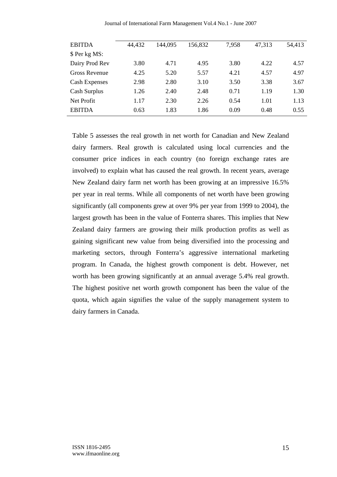| Journal of International Farm Management Vol.4 No.1 - June 2007 |  |  |  |  |
|-----------------------------------------------------------------|--|--|--|--|
|-----------------------------------------------------------------|--|--|--|--|

| <b>EBITDA</b>        | 44,432 | 144,095 | 156,832 | 7,958 | 47,313 | 54,413 |
|----------------------|--------|---------|---------|-------|--------|--------|
| \$ Per kg MS:        |        |         |         |       |        |        |
| Dairy Prod Rev       | 3.80   | 4.71    | 4.95    | 3.80  | 4.22   | 4.57   |
| Gross Revenue        | 4.25   | 5.20    | 5.57    | 4.21  | 4.57   | 4.97   |
| <b>Cash Expenses</b> | 2.98   | 2.80    | 3.10    | 3.50  | 3.38   | 3.67   |
| Cash Surplus         | 1.26   | 2.40    | 2.48    | 0.71  | 1.19   | 1.30   |
| Net Profit           | 1.17   | 2.30    | 2.26    | 0.54  | 1.01   | 1.13   |
| <b>EBITDA</b>        | 0.63   | 1.83    | 1.86    | 0.09  | 0.48   | 0.55   |

Table 5 assesses the real growth in net worth for Canadian and New Zealand dairy farmers. Real growth is calculated using local currencies and the consumer price indices in each country (no foreign exchange rates are involved) to explain what has caused the real growth. In recent years, average New Zealand dairy farm net worth has been growing at an impressive 16.5% per year in real terms. While all components of net worth have been growing significantly (all components grew at over 9% per year from 1999 to 2004), the largest growth has been in the value of Fonterra shares. This implies that New Zealand dairy farmers are growing their milk production profits as well as gaining significant new value from being diversified into the processing and marketing sectors, through Fonterra's aggressive international marketing program. In Canada, the highest growth component is debt. However, net worth has been growing significantly at an annual average 5.4% real growth. The highest positive net worth growth component has been the value of the quota, which again signifies the value of the supply management system to dairy farmers in Canada.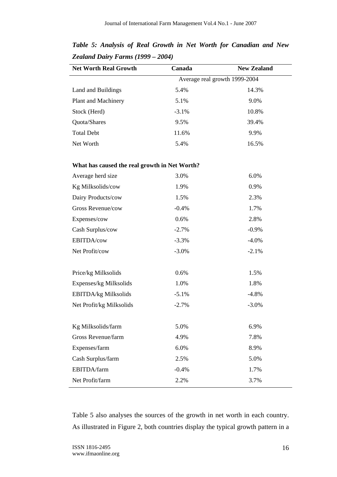| <b>Net Worth Real Growth</b>                  | Canada  | <b>New Zealand</b>            |
|-----------------------------------------------|---------|-------------------------------|
|                                               |         | Average real growth 1999-2004 |
| Land and Buildings                            | 5.4%    | 14.3%                         |
| Plant and Machinery                           | 5.1%    | 9.0%                          |
| Stock (Herd)                                  | $-3.1%$ | 10.8%                         |
| Quota/Shares                                  | 9.5%    | 39.4%                         |
| <b>Total Debt</b>                             | 11.6%   | 9.9%                          |
| Net Worth                                     | 5.4%    | 16.5%                         |
|                                               |         |                               |
| What has caused the real growth in Net Worth? |         |                               |
| Average herd size                             | 3.0%    | 6.0%                          |
| Kg Milksolids/cow                             | 1.9%    | 0.9%                          |
| Dairy Products/cow                            | 1.5%    | 2.3%                          |
| Gross Revenue/cow                             | $-0.4%$ | 1.7%                          |
| Expenses/cow                                  | 0.6%    | 2.8%                          |
| Cash Surplus/cow                              | $-2.7%$ | $-0.9%$                       |
| EBITDA/cow                                    | $-3.3%$ | $-4.0%$                       |
| Net Profit/cow                                | $-3.0%$ | $-2.1%$                       |
|                                               |         |                               |
| Price/kg Milksolids                           | 0.6%    | 1.5%                          |
| Expenses/kg Milksolids                        | 1.0%    | 1.8%                          |
| <b>EBITDA/kg Milksolids</b>                   | $-5.1%$ | $-4.8%$                       |
| Net Profit/kg Milksolids                      | $-2.7%$ | $-3.0%$                       |
|                                               |         |                               |
| Kg Milksolids/farm                            | 5.0%    | 6.9%                          |
| Gross Revenue/farm                            | 4.9%    | 7.8%                          |
| Expenses/farm                                 | 6.0%    | 8.9%                          |
| Cash Surplus/farm                             | 2.5%    | 5.0%                          |
| EBITDA/farm                                   | $-0.4%$ | 1.7%                          |
| Net Profit/farm                               | 2.2%    | 3.7%                          |

*Table 5: Analysis of Real Growth in Net Worth for Canadian and New Zealand Dairy Farms (1999 – 2004)* 

Table 5 also analyses the sources of the growth in net worth in each country. As illustrated in Figure 2, both countries display the typical growth pattern in a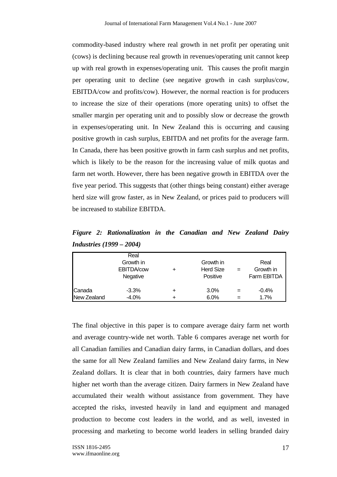commodity-based industry where real growth in net profit per operating unit (cows) is declining because real growth in revenues/operating unit cannot keep up with real growth in expenses/operating unit. This causes the profit margin per operating unit to decline (see negative growth in cash surplus/cow, EBITDA/cow and profits/cow). However, the normal reaction is for producers to increase the size of their operations (more operating units) to offset the smaller margin per operating unit and to possibly slow or decrease the growth in expenses/operating unit. In New Zealand this is occurring and causing positive growth in cash surplus, EBITDA and net profits for the average farm. In Canada, there has been positive growth in farm cash surplus and net profits, which is likely to be the reason for the increasing value of milk quotas and farm net worth. However, there has been negative growth in EBITDA over the five year period. This suggests that (other things being constant) either average herd size will grow faster, as in New Zealand, or prices paid to producers will be increased to stabilize EBITDA.

*Figure 2: Rationalization in the Canadian and New Zealand Dairy Industries (1999 – 2004)* 

|                       | Real<br>Growth in<br>EBITDA/cow<br>Negative | Growth in<br><b>Herd Size</b><br>Positive | Real<br>Growth in<br>Farm EBITDA |
|-----------------------|---------------------------------------------|-------------------------------------------|----------------------------------|
| Canada<br>New Zealand | $-3.3%$<br>$-4.0%$                          | 3.0%<br>6.0%                              | $-0.4%$<br>1.7%                  |

The final objective in this paper is to compare average dairy farm net worth and average country-wide net worth. Table 6 compares average net worth for all Canadian families and Canadian dairy farms, in Canadian dollars, and does the same for all New Zealand families and New Zealand dairy farms, in New Zealand dollars. It is clear that in both countries, dairy farmers have much higher net worth than the average citizen. Dairy farmers in New Zealand have accumulated their wealth without assistance from government. They have accepted the risks, invested heavily in land and equipment and managed production to become cost leaders in the world, and as well, invested in processing and marketing to become world leaders in selling branded dairy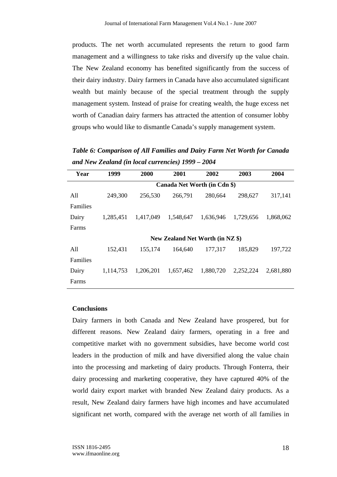products. The net worth accumulated represents the return to good farm management and a willingness to take risks and diversify up the value chain. The New Zealand economy has benefited significantly from the success of their dairy industry. Dairy farmers in Canada have also accumulated significant wealth but mainly because of the special treatment through the supply management system. Instead of praise for creating wealth, the huge excess net worth of Canadian dairy farmers has attracted the attention of consumer lobby groups who would like to dismantle Canada's supply management system.

*Table 6: Comparison of All Families and Dairy Farm Net Worth for Canada and New Zealand (in local currencies) 1999 – 2004* 

| Year     | 1999                         | 2000      | 2001                             | 2002      | 2003      | 2004      |  |  |  |  |
|----------|------------------------------|-----------|----------------------------------|-----------|-----------|-----------|--|--|--|--|
|          | Canada Net Worth (in Cdn \$) |           |                                  |           |           |           |  |  |  |  |
| All      | 249,300                      | 256,530   | 266,791                          | 280,664   | 298,627   | 317,141   |  |  |  |  |
| Families |                              |           |                                  |           |           |           |  |  |  |  |
| Dairy    | 1,285,451                    | 1,417,049 | 1,548,647                        | 1,636,946 | 1.729.656 | 1,868,062 |  |  |  |  |
| Farms    |                              |           |                                  |           |           |           |  |  |  |  |
|          |                              |           | New Zealand Net Worth (in NZ \$) |           |           |           |  |  |  |  |
| All      | 152,431                      | 155,174   | 164,640                          | 177,317   | 185,829   | 197,722   |  |  |  |  |
| Families |                              |           |                                  |           |           |           |  |  |  |  |
| Dairy    | 1,114,753                    | 1,206,201 | 1,657,462                        | 1,880,720 | 2,252,224 | 2,681,880 |  |  |  |  |
| Farms    |                              |           |                                  |           |           |           |  |  |  |  |

#### **Conclusions**

Dairy farmers in both Canada and New Zealand have prospered, but for different reasons. New Zealand dairy farmers, operating in a free and competitive market with no government subsidies, have become world cost leaders in the production of milk and have diversified along the value chain into the processing and marketing of dairy products. Through Fonterra, their dairy processing and marketing cooperative, they have captured 40% of the world dairy export market with branded New Zealand dairy products. As a result, New Zealand dairy farmers have high incomes and have accumulated significant net worth, compared with the average net worth of all families in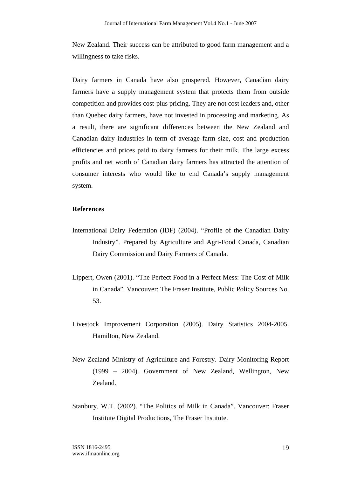New Zealand. Their success can be attributed to good farm management and a willingness to take risks.

Dairy farmers in Canada have also prospered. However, Canadian dairy farmers have a supply management system that protects them from outside competition and provides cost-plus pricing. They are not cost leaders and, other than Quebec dairy farmers, have not invested in processing and marketing. As a result, there are significant differences between the New Zealand and Canadian dairy industries in term of average farm size, cost and production efficiencies and prices paid to dairy farmers for their milk. The large excess profits and net worth of Canadian dairy farmers has attracted the attention of consumer interests who would like to end Canada's supply management system.

#### **References**

- International Dairy Federation (IDF) (2004). "Profile of the Canadian Dairy Industry". Prepared by Agriculture and Agri-Food Canada, Canadian Dairy Commission and Dairy Farmers of Canada.
- Lippert, Owen (2001). "The Perfect Food in a Perfect Mess: The Cost of Milk in Canada". Vancouver: The Fraser Institute, Public Policy Sources No. 53.
- Livestock Improvement Corporation (2005). Dairy Statistics 2004-2005. Hamilton, New Zealand.
- New Zealand Ministry of Agriculture and Forestry. Dairy Monitoring Report (1999 – 2004). Government of New Zealand, Wellington, New Zealand.
- Stanbury, W.T. (2002). "The Politics of Milk in Canada". Vancouver: Fraser Institute Digital Productions, The Fraser Institute.